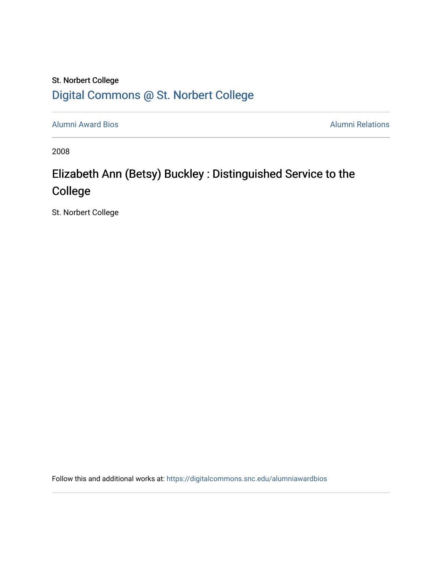## St. Norbert College [Digital Commons @ St. Norbert College](https://digitalcommons.snc.edu/)

[Alumni Award Bios](https://digitalcommons.snc.edu/alumniawardbios) **Alumni Relations** Alumni Relations

2008

## Elizabeth Ann (Betsy) Buckley : Distinguished Service to the College

St. Norbert College

Follow this and additional works at: [https://digitalcommons.snc.edu/alumniawardbios](https://digitalcommons.snc.edu/alumniawardbios?utm_source=digitalcommons.snc.edu%2Falumniawardbios%2F36&utm_medium=PDF&utm_campaign=PDFCoverPages)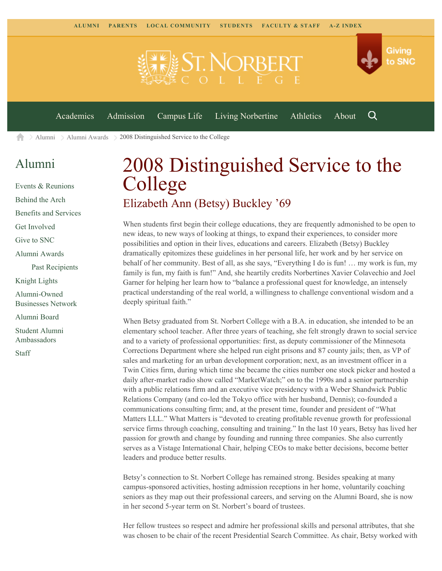

[Alumni](https://www.snc.edu/alumni/) [Alumni Awards](https://www.snc.edu/alumni/awards/) 2008 Distinguished Service to the College A

## [Alumni](https://www.snc.edu/alumni/index.html)

[Events & Reunions](https://www.snc.edu/alumni/event/index.html) [Behind the Arch](https://www.snc.edu/alumni/event/behindthearch/) [Benefits and Services](https://www.snc.edu/alumni/benefits.html) [Get Involved](https://www.snc.edu/alumni/getinvolved.html) [Give to SNC](http://giving.snc.edu/) [Alumni Awards](https://www.snc.edu/alumni/awards/index.html) [Past Recipients](https://www.snc.edu/alumni/awards/recipients.html) [Knight Lights](https://www.snc.edu/alumni/knightlights/index.html) [Alumni-Owned](https://www.snc.edu/alumni/directory/index.html) [Businesses Network](https://www.snc.edu/alumni/directory/index.html) [Alumni Board](https://www.snc.edu/alumni/alumniboard.html) [Student Alumni](https://www.snc.edu/alumni/saa.html) [Ambassadors](https://www.snc.edu/alumni/saa.html) [Staff](https://www.snc.edu/alumni/contactus.html)

## 2008 Distinguished Service to the College Elizabeth Ann (Betsy) Buckley '69

When students first begin their college educations, they are frequently admonished to be open to new ideas, to new ways of looking at things, to expand their experiences, to consider more possibilities and option in their lives, educations and careers. Elizabeth (Betsy) Buckley dramatically epitomizes these guidelines in her personal life, her work and by her service on behalf of her community. Best of all, as she says, "Everything I do is fun! … my work is fun, my family is fun, my faith is fun!" And, she heartily credits Norbertines Xavier Colavechio and Joel Garner for helping her learn how to "balance a professional quest for knowledge, an intensely practical understanding of the real world, a willingness to challenge conventional wisdom and a deeply spiritual faith."

When Betsy graduated from St. Norbert College with a B.A. in education, she intended to be an elementary school teacher. After three years of teaching, she felt strongly drawn to social service and to a variety of professional opportunities: first, as deputy commissioner of the Minnesota Corrections Department where she helped run eight prisons and 87 county jails; then, as VP of sales and marketing for an urban development corporation; next, as an investment officer in a Twin Cities firm, during which time she became the cities number one stock picker and hosted a daily after-market radio show called "MarketWatch;" on to the 1990s and a senior partnership with a public relations firm and an executive vice presidency with a Weber Shandwick Public Relations Company (and co-led the Tokyo office with her husband, Dennis); co-founded a communications consulting firm; and, at the present time, founder and president of "What Matters LLL." What Matters is "devoted to creating profitable revenue growth for professional service firms through coaching, consulting and training." In the last 10 years, Betsy has lived her passion for growth and change by founding and running three companies. She also currently serves as a Vistage International Chair, helping CEOs to make better decisions, become better leaders and produce better results.

Betsy's connection to St. Norbert College has remained strong. Besides speaking at many campus-sponsored activities, hosting admission receptions in her home, voluntarily coaching seniors as they map out their professional careers, and serving on the Alumni Board, she is now in her second 5-year term on St. Norbert's board of trustees.

Her fellow trustees so respect and admire her professional skills and personal attributes, that she was chosen to be chair of the recent Presidential Search Committee. As chair, Betsy worked with